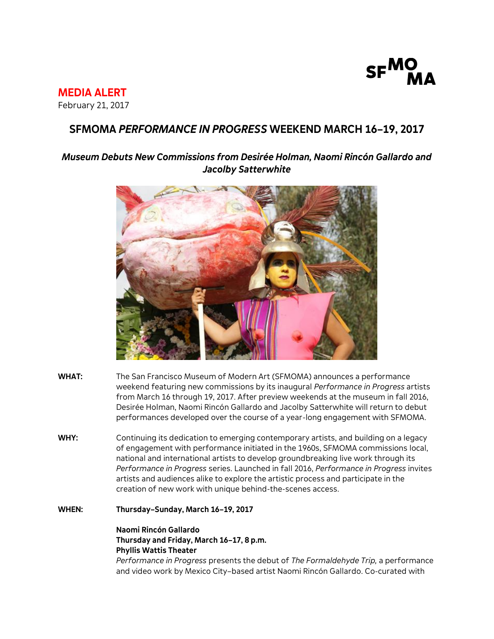

**MEDIA ALERT** February 21, 2017

# **SFMOMA** *PERFORMANCE IN PROGRESS* **WEEKEND MARCH 16–19, 2017**

## *Museum Debuts New Commissions from Desirée Holman, Naomi Rincón Gallardo and Jacolby Satterwhite*



- **WHAT:** The San Francisco Museum of Modern Art (SFMOMA) announces a performance weekend featuring new commissions by its inaugural *Performance in Progress* artists from March 16 through 19, 2017. After preview weekends at the museum in fall 2016, Desirée Holman, Naomi Rincón Gallardo and Jacolby Satterwhite will return to debut performances developed over the course of a year-long engagement with SFMOMA.
- **WHY:** Continuing its dedication to emerging contemporary artists, and building on a legacy of engagement with performance initiated in the 1960s, SFMOMA commissions local, national and international artists to develop groundbreaking live work through its *Performance in Progress* series. Launched in fall 2016, *Performance in Progress* invites artists and audiences alike to explore the artistic process and participate in the creation of new work with unique behind-the-scenes access.
- **WHEN: Thursday–Sunday, March 16–19, 2017**

**Naomi Rincón Gallardo Thursday and Friday, March 16–17, 8 p.m. Phyllis Wattis Theater**

*Performance in Progress* presents the debut of *The Formaldehyde Trip,* a performance and video work by Mexico City–based artist Naomi Rincón Gallardo. Co-curated with